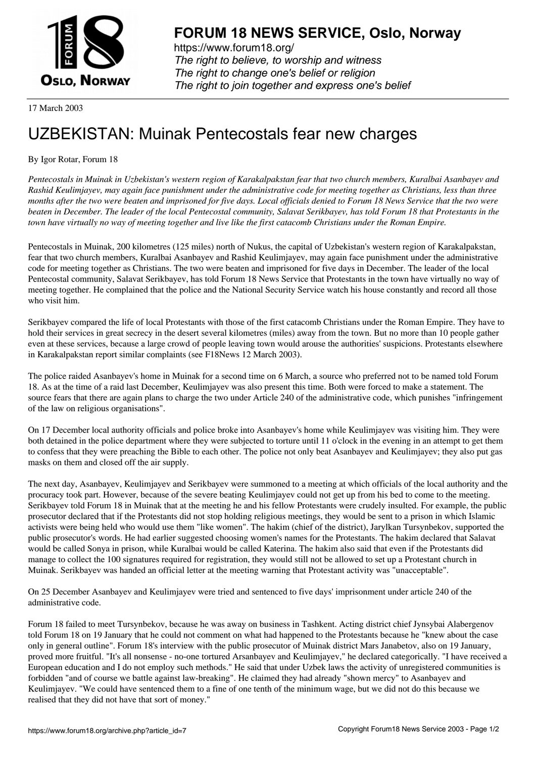

https://www.forum18.org/ The right to believe, to worship and witness The right to change one's belief or religion [The right to join together a](https://www.forum18.org/)nd express one's belief

17 March 2003

## [UZBEKISTAN:](https://www.forum18.org) Muinak Pentecostals fear new charges

By Igor Rotar, Forum 18

*Pentecostals in Muinak in Uzbekistan's western region of Karakalpakstan fear that two church members, Kuralbai Asanbayev and Rashid Keulimjayev, may again face punishment under the administrative code for meeting together as Christians, less than three months after the two were beaten and imprisoned for five days. Local officials denied to Forum 18 News Service that the two were beaten in December. The leader of the local Pentecostal community, Salavat Serikbayev, has told Forum 18 that Protestants in the town have virtually no way of meeting together and live like the first catacomb Christians under the Roman Empire.*

Pentecostals in Muinak, 200 kilometres (125 miles) north of Nukus, the capital of Uzbekistan's western region of Karakalpakstan, fear that two church members, Kuralbai Asanbayev and Rashid Keulimjayev, may again face punishment under the administrative code for meeting together as Christians. The two were beaten and imprisoned for five days in December. The leader of the local Pentecostal community, Salavat Serikbayev, has told Forum 18 News Service that Protestants in the town have virtually no way of meeting together. He complained that the police and the National Security Service watch his house constantly and record all those who visit him.

Serikbayev compared the life of local Protestants with those of the first catacomb Christians under the Roman Empire. They have to hold their services in great secrecy in the desert several kilometres (miles) away from the town. But no more than 10 people gather even at these services, because a large crowd of people leaving town would arouse the authorities' suspicions. Protestants elsewhere in Karakalpakstan report similar complaints (see F18News 12 March 2003).

The police raided Asanbayev's home in Muinak for a second time on 6 March, a source who preferred not to be named told Forum 18. As at the time of a raid last December, Keulimjayev was also present this time. Both were forced to make a statement. The source fears that there are again plans to charge the two under Article 240 of the administrative code, which punishes "infringement of the law on religious organisations".

On 17 December local authority officials and police broke into Asanbayev's home while Keulimjayev was visiting him. They were both detained in the police department where they were subjected to torture until 11 o'clock in the evening in an attempt to get them to confess that they were preaching the Bible to each other. The police not only beat Asanbayev and Keulimjayev; they also put gas masks on them and closed off the air supply.

The next day, Asanbayev, Keulimjayev and Serikbayev were summoned to a meeting at which officials of the local authority and the procuracy took part. However, because of the severe beating Keulimjayev could not get up from his bed to come to the meeting. Serikbayev told Forum 18 in Muinak that at the meeting he and his fellow Protestants were crudely insulted. For example, the public prosecutor declared that if the Protestants did not stop holding religious meetings, they would be sent to a prison in which Islamic activists were being held who would use them "like women". The hakim (chief of the district), Jarylkan Tursynbekov, supported the public prosecutor's words. He had earlier suggested choosing women's names for the Protestants. The hakim declared that Salavat would be called Sonya in prison, while Kuralbai would be called Katerina. The hakim also said that even if the Protestants did manage to collect the 100 signatures required for registration, they would still not be allowed to set up a Protestant church in Muinak. Serikbayev was handed an official letter at the meeting warning that Protestant activity was "unacceptable".

On 25 December Asanbayev and Keulimjayev were tried and sentenced to five days' imprisonment under article 240 of the administrative code.

Forum 18 failed to meet Tursynbekov, because he was away on business in Tashkent. Acting district chief Jynsybai Alabergenov told Forum 18 on 19 January that he could not comment on what had happened to the Protestants because he "knew about the case only in general outline". Forum 18's interview with the public prosecutor of Muinak district Mars Janabetov, also on 19 January, proved more fruitful. "It's all nonsense - no-one tortured Arsanbayev and Keulimjayev," he declared categorically. "I have received a European education and I do not employ such methods." He said that under Uzbek laws the activity of unregistered communities is forbidden "and of course we battle against law-breaking". He claimed they had already "shown mercy" to Asanbayev and Keulimjayev. "We could have sentenced them to a fine of one tenth of the minimum wage, but we did not do this because we realised that they did not have that sort of money."